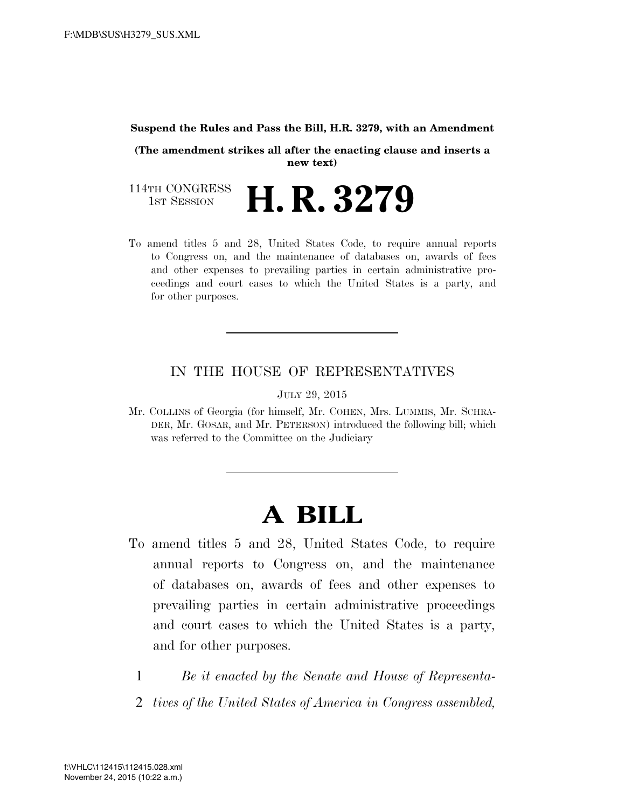#### **Suspend the Rules and Pass the Bill, H.R. 3279, with an Amendment**

**(The amendment strikes all after the enacting clause and inserts a new text)** 

114TH CONGRESS<br>1st Session H. R. 3279

To amend titles 5 and 28, United States Code, to require annual reports to Congress on, and the maintenance of databases on, awards of fees and other expenses to prevailing parties in certain administrative proceedings and court cases to which the United States is a party, and for other purposes.

### IN THE HOUSE OF REPRESENTATIVES

JULY 29, 2015

Mr. COLLINS of Georgia (for himself, Mr. COHEN, Mrs. LUMMIS, Mr. SCHRA-DER, Mr. GOSAR, and Mr. PETERSON) introduced the following bill; which was referred to the Committee on the Judiciary

# **A BILL**

- To amend titles 5 and 28, United States Code, to require annual reports to Congress on, and the maintenance of databases on, awards of fees and other expenses to prevailing parties in certain administrative proceedings and court cases to which the United States is a party, and for other purposes.
	- 1 *Be it enacted by the Senate and House of Representa-*
	- 2 *tives of the United States of America in Congress assembled,*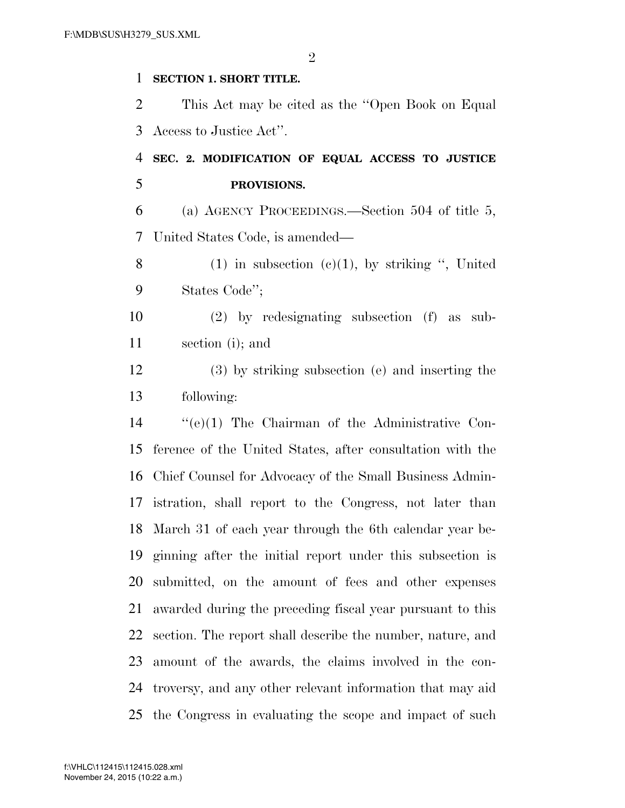### **SECTION 1. SHORT TITLE.**

 This Act may be cited as the ''Open Book on Equal Access to Justice Act''.

## **SEC. 2. MODIFICATION OF EQUAL ACCESS TO JUSTICE PROVISIONS.**

 (a) AGENCY PROCEEDINGS.—Section 504 of title 5, United States Code, is amended—

8 (1) in subsection  $(c)(1)$ , by striking ", United States Code'';

 (2) by redesignating subsection (f) as sub-section (i); and

 (3) by striking subsection (e) and inserting the following:

 ''(e)(1) The Chairman of the Administrative Con- ference of the United States, after consultation with the Chief Counsel for Advocacy of the Small Business Admin- istration, shall report to the Congress, not later than March 31 of each year through the 6th calendar year be- ginning after the initial report under this subsection is submitted, on the amount of fees and other expenses awarded during the preceding fiscal year pursuant to this section. The report shall describe the number, nature, and amount of the awards, the claims involved in the con- troversy, and any other relevant information that may aid the Congress in evaluating the scope and impact of such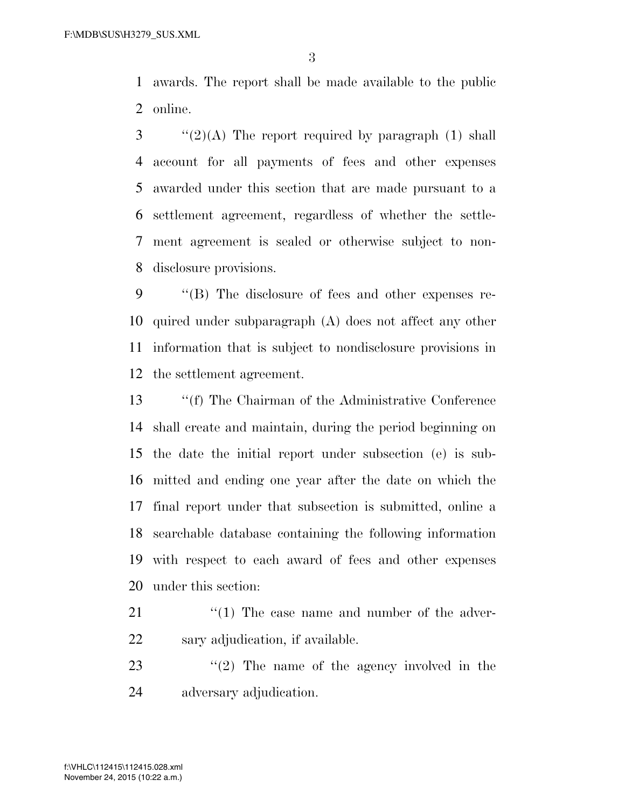awards. The report shall be made available to the public online.

 ''(2)(A) The report required by paragraph (1) shall account for all payments of fees and other expenses awarded under this section that are made pursuant to a settlement agreement, regardless of whether the settle- ment agreement is sealed or otherwise subject to non-disclosure provisions.

 ''(B) The disclosure of fees and other expenses re- quired under subparagraph (A) does not affect any other information that is subject to nondisclosure provisions in the settlement agreement.

 ''(f) The Chairman of the Administrative Conference shall create and maintain, during the period beginning on the date the initial report under subsection (e) is sub- mitted and ending one year after the date on which the final report under that subsection is submitted, online a searchable database containing the following information with respect to each award of fees and other expenses under this section:

- 21 ''(1) The case name and number of the adver-sary adjudication, if available.
- 23  $\frac{1}{2}$  The name of the agency involved in the adversary adjudication.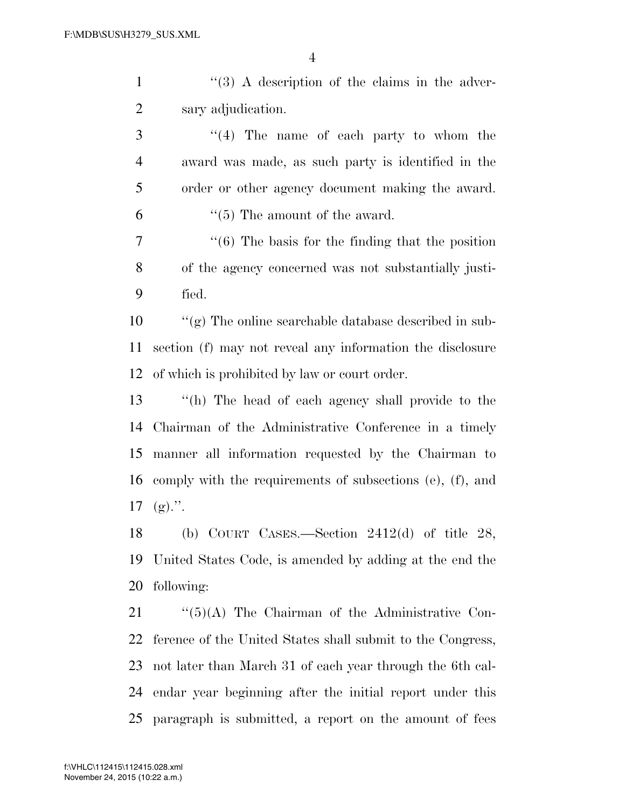1 ''(3) A description of the claims in the adver-sary adjudication.

 ''(4) The name of each party to whom the award was made, as such party is identified in the order or other agency document making the award.  $\frac{1}{5}$  The amount of the award.

 ''(6) The basis for the finding that the position of the agency concerned was not substantially justi-fied.

 ''(g) The online searchable database described in sub- section (f) may not reveal any information the disclosure of which is prohibited by law or court order.

 ''(h) The head of each agency shall provide to the Chairman of the Administrative Conference in a timely manner all information requested by the Chairman to comply with the requirements of subsections (e), (f), and (g).".

 (b) COURT CASES.—Section 2412(d) of title 28, United States Code, is amended by adding at the end the following:

21 ''(5)(A) The Chairman of the Administrative Con- ference of the United States shall submit to the Congress, not later than March 31 of each year through the 6th cal- endar year beginning after the initial report under this paragraph is submitted, a report on the amount of fees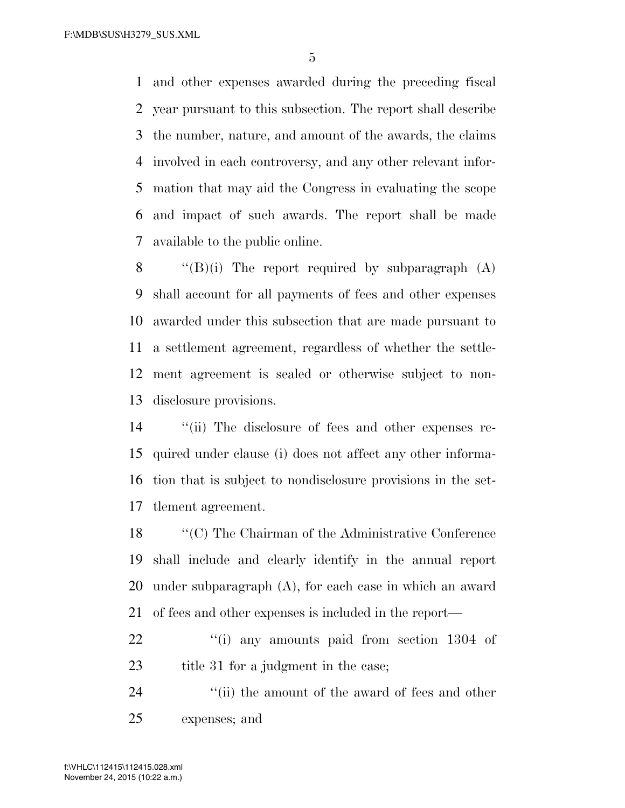and other expenses awarded during the preceding fiscal year pursuant to this subsection. The report shall describe the number, nature, and amount of the awards, the claims involved in each controversy, and any other relevant infor- mation that may aid the Congress in evaluating the scope and impact of such awards. The report shall be made available to the public online.

 $\langle (B)(i)$  The report required by subparagraph  $(A)$  shall account for all payments of fees and other expenses awarded under this subsection that are made pursuant to a settlement agreement, regardless of whether the settle- ment agreement is sealed or otherwise subject to non-disclosure provisions.

 ''(ii) The disclosure of fees and other expenses re- quired under clause (i) does not affect any other informa- tion that is subject to nondisclosure provisions in the set-tlement agreement.

 ''(C) The Chairman of the Administrative Conference shall include and clearly identify in the annual report under subparagraph (A), for each case in which an award of fees and other expenses is included in the report—

22 "(i) any amounts paid from section 1304 of 23 title 31 for a judgment in the case;

24 ''(ii) the amount of the award of fees and other expenses; and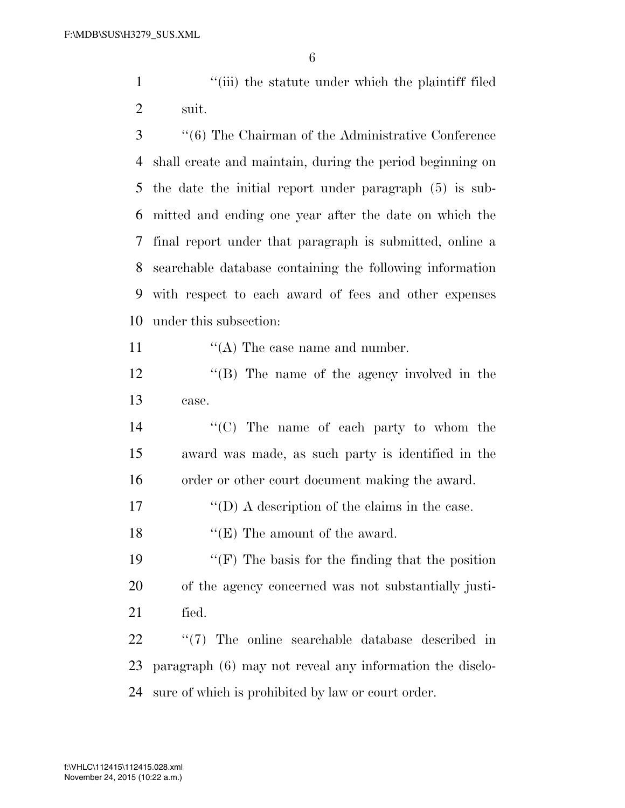1 ''(iii) the statute under which the plaintiff filed suit.

 ''(6) The Chairman of the Administrative Conference shall create and maintain, during the period beginning on the date the initial report under paragraph (5) is sub- mitted and ending one year after the date on which the final report under that paragraph is submitted, online a searchable database containing the following information with respect to each award of fees and other expenses under this subsection:

11  $((A)$  The case name and number.

 ''(B) The name of the agency involved in the case.

- ''(C) The name of each party to whom the award was made, as such party is identified in the order or other court document making the award.
- 17  $\langle \text{`}(D) \rangle$  A description of the claims in the case.

18 ''(E) The amount of the award.

19  $\langle \text{``(F)} \rangle$  The basis for the finding that the position of the agency concerned was not substantially justi-fied.

 ''(7) The online searchable database described in paragraph (6) may not reveal any information the disclo-sure of which is prohibited by law or court order.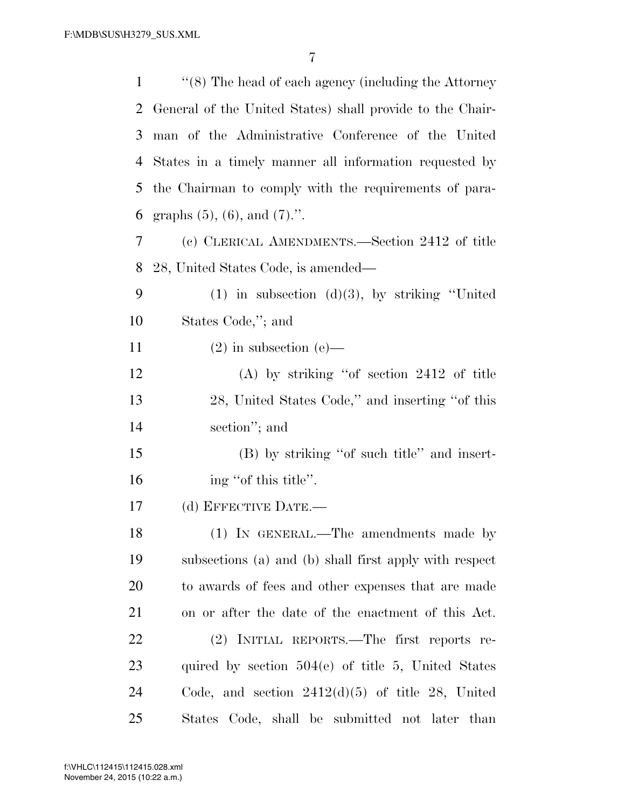| 1  | $\cdot$ (8) The head of each agency (including the Attorney |
|----|-------------------------------------------------------------|
| 2  | General of the United States) shall provide to the Chair-   |
| 3  | man of the Administrative Conference of the United          |
| 4  | States in a timely manner all information requested by      |
| 5  | the Chairman to comply with the requirements of para-       |
| 6  | graphs $(5)$ , $(6)$ , and $(7)$ .".                        |
| 7  | (c) CLERICAL AMENDMENTS.—Section 2412 of title              |
| 8  | 28, United States Code, is amended—                         |
| 9  | $(1)$ in subsection $(d)(3)$ , by striking "United          |
| 10 | States Code,"; and                                          |
| 11 | $(2)$ in subsection $(e)$ —                                 |
| 12 | $(A)$ by striking "of section 2412 of title                 |
| 13 | 28, United States Code," and inserting "of this             |
| 14 | section"; and                                               |
| 15 | (B) by striking "of such title" and insert-                 |
| 16 | ing "of this title".                                        |
| 17 | (d) EFFECTIVE DATE.—                                        |
| 18 | (1) IN GENERAL.—The amendments made by                      |
| 19 | subsections (a) and (b) shall first apply with respect      |
| 20 | to awards of fees and other expenses that are made          |
| 21 | on or after the date of the enactment of this Act.          |
| 22 | (2) INITIAL REPORTS.—The first reports re-                  |
| 23 | quired by section $504(e)$ of title 5, United States        |
| 24 | Code, and section $2412(d)(5)$ of title 28, United          |
| 25 | States Code, shall be submitted not later than              |